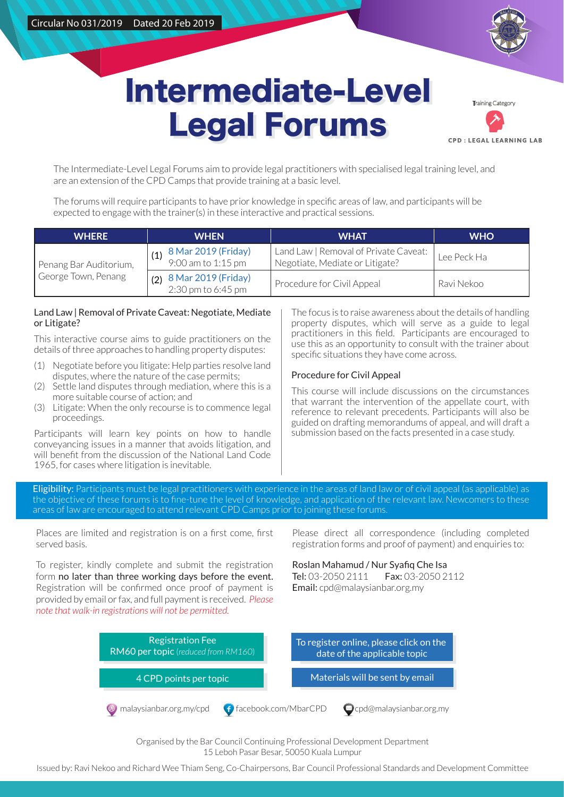

# Intermediate-Level Intermediate-Level Legal Forums Legal Forums

tra<br>19 Categor **CPD : LEGAL LEARNING LAB** 

The Intermediate-Level Legal Forums aim to provide legal practitioners with specialised legal training level, and are an extension of the CPD Camps that provide training at a basic level.

The forums will require participants to have prior knowledge in specific areas of law, and participants will be expected to engage with the trainer(s) in these interactive and practical sessions.

| <b>WHERE</b>                                  | <b>WHEN</b>                                      | <b>WHAT</b>                                                              | <b>WHO</b>  |
|-----------------------------------------------|--------------------------------------------------|--------------------------------------------------------------------------|-------------|
| Penang Bar Auditorium,<br>George Town, Penang | <b>8 Mar 2019 (Friday)</b><br>9:00 am to 1:15 pm | Land Law   Removal of Private Caveat:<br>Negotiate, Mediate or Litigate? | Lee Peck Ha |
|                                               | $(2)$ 8 Mar 2019 (Friday)<br>2:30 pm to 6:45 pm  | Procedure for Civil Appeal                                               | Ravi Nekoo  |

#### Land Law | Removal of Private Caveat: Negotiate, Mediate or Litigate?

This interactive course aims to guide practitioners on the details of three approaches to handling property disputes:

- (1) Negotiate before you litigate: Help parties resolve land disputes, where the nature of the case permits;
- (2) Settle land disputes through mediation, where this is a more suitable course of action; and
- (3) Litigate: When the only recourse is to commence legal proceedings.

Participants will learn key points on how to handle conveyancing issues in a manner that avoids litigation, and will benefit from the discussion of the National Land Code 1965, for cases where litigation is inevitable.

The focus is to raise awareness about the details of handling property disputes, which will serve as a guide to legal practitioners in this field. Participants are encouraged to use this as an opportunity to consult with the trainer about specific situations they have come across.

### Procedure for Civil Appeal

This course will include discussions on the circumstances that warrant the intervention of the appellate court, with reference to relevant precedents. Participants will also be guided on drafting memorandums of appeal, and will draft a submission based on the facts presented in a case study.

Eligibility: Participants must be legal practitioners with experience in the areas of land law or of civil appeal (as applicable) as the objective of these forums is to fine-tune the level of knowledge, and application of the relevant law. Newcomers to these areas of law are encouraged to attend relevant CPD Camps prior to joining these forums.

Places are limited and registration is on a first come, first served basis.

To register, kindly complete and submit the registration form no later than three working days before the event. Registration will be confirmed once proof of payment is provided by email or fax, and full payment is received. *Please note that walk-in registrations will not be permitted.* 

Please direct all correspondence (including completed registration forms and proof of payment) and enquiries to:

Roslan Mahamud / Nur Syafiq Che Isa Tel: 03-2050 2111 Fax: 03-2050 2112 Email: cpd@malaysianbar.org.my



Organised by the Bar Council Continuing Professional Development Department 15 Leboh Pasar Besar, 50050 Kuala Lumpur

Issued by: Ravi Nekoo and Richard Wee Thiam Seng, Co-Chairpersons, Bar Council Professional Standards and Development Committee